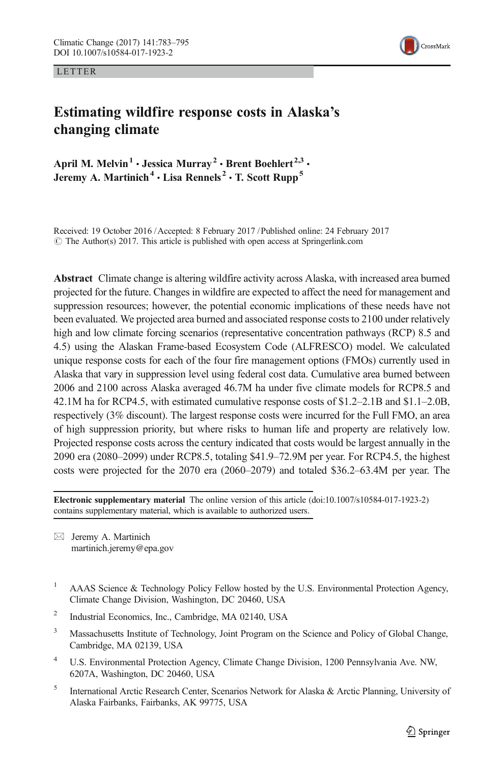LETTER



# Estimating wildfire response costs in Alaska's changing climate

April M. Melvin<sup>1</sup> · Jessica Murray<sup>2</sup> · Brent Boehlert<sup>2,3</sup> · Jeremy A. Martinich<sup>4</sup>  $\cdot$  Lisa Rennels<sup>2</sup>  $\cdot$  T. Scott Rupp<sup>5</sup>

Received: 19 October 2016 /Accepted: 8 February 2017 /Published online: 24 February 2017  $\degree$  The Author(s) 2017. This article is published with open access at Springerlink.com

Abstract Climate change is altering wildfire activity across Alaska, with increased area burned projected for the future. Changes in wildfire are expected to affect the need for management and suppression resources; however, the potential economic implications of these needs have not been evaluated. We projected area burned and associated response costs to 2100 under relatively high and low climate forcing scenarios (representative concentration pathways (RCP) 8.5 and 4.5) using the Alaskan Frame-based Ecosystem Code (ALFRESCO) model. We calculated unique response costs for each of the four fire management options (FMOs) currently used in Alaska that vary in suppression level using federal cost data. Cumulative area burned between 2006 and 2100 across Alaska averaged 46.7M ha under five climate models for RCP8.5 and 42.1M ha for RCP4.5, with estimated cumulative response costs of \$1.2–2.1B and \$1.1–2.0B, respectively (3% discount). The largest response costs were incurred for the Full FMO, an area of high suppression priority, but where risks to human life and property are relatively low. Projected response costs across the century indicated that costs would be largest annually in the 2090 era (2080–2099) under RCP8.5, totaling \$41.9–72.9M per year. For RCP4.5, the highest costs were projected for the 2070 era (2060–2079) and totaled \$36.2–63.4M per year. The

Electronic supplementary material The online version of this article (doi:[10.1007/s10584-017-1923-2\)](http://dx.doi.org/10.1007/s10584-017-1923-2) contains supplementary material, which is available to authorized users.

 $\boxtimes$  Jeremy A. Martinich martinich.jeremy@epa.gov

- <sup>1</sup> AAAS Science & Technology Policy Fellow hosted by the U.S. Environmental Protection Agency, Climate Change Division, Washington, DC 20460, USA
- <sup>2</sup> Industrial Economics, Inc., Cambridge, MA 02140, USA
- <sup>3</sup> Massachusetts Institute of Technology, Joint Program on the Science and Policy of Global Change, Cambridge, MA 02139, USA
- <sup>4</sup> U.S. Environmental Protection Agency, Climate Change Division, 1200 Pennsylvania Ave. NW, 6207A, Washington, DC 20460, USA
- <sup>5</sup> International Arctic Research Center, Scenarios Network for Alaska & Arctic Planning, University of Alaska Fairbanks, Fairbanks, AK 99775, USA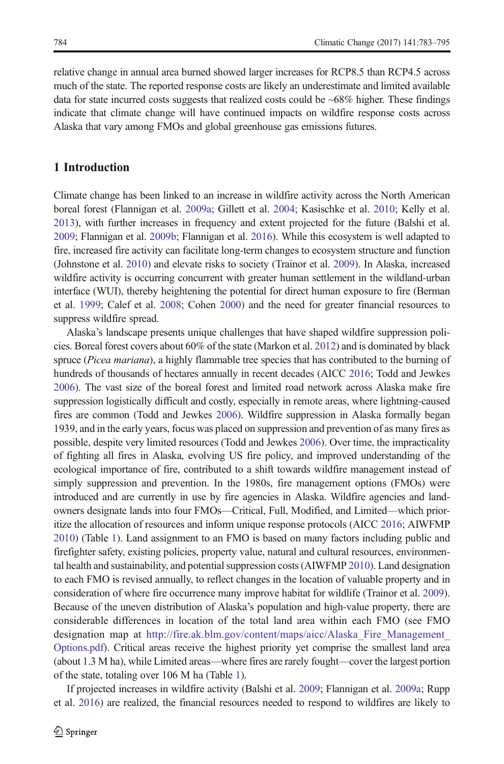relative change in annual area burned showed larger increases for RCP8.5 than RCP4.5 across much of the state. The reported response costs are likely an underestimate and limited available data for state incurred costs suggests that realized costs could be ~68% higher. These findings indicate that climate change will have continued impacts on wildfire response costs across Alaska that vary among FMOs and global greenhouse gas emissions futures.

# 1 Introduction

Climate change has been linked to an increase in wildfire activity across the North American boreal forest (Flannigan et al. [2009a](#page-11-0); Gillett et al. [2004](#page-11-0); Kasischke et al. [2010](#page-11-0); Kelly et al. [2013](#page-11-0)), with further increases in frequency and extent projected for the future (Balshi et al. [2009](#page-10-0); Flannigan et al. [2009b;](#page-11-0) Flannigan et al. [2016](#page-11-0)). While this ecosystem is well adapted to fire, increased fire activity can facilitate long-term changes to ecosystem structure and function (Johnstone et al. [2010\)](#page-11-0) and elevate risks to society (Trainor et al. [2009](#page-12-0)). In Alaska, increased wildfire activity is occurring concurrent with greater human settlement in the wildland-urban interface (WUI), thereby heightening the potential for direct human exposure to fire (Berman et al. [1999;](#page-11-0) Calef et al. [2008](#page-11-0); Cohen [2000](#page-11-0)) and the need for greater financial resources to suppress wildfire spread.

Alaska's landscape presents unique challenges that have shaped wildfire suppression policies. Boreal forest covers about 60% of the state (Markon et al. [2012](#page-11-0)) and is dominated by black spruce (Picea mariana), a highly flammable tree species that has contributed to the burning of hundreds of thousands of hectares annually in recent decades (AICC [2016](#page-10-0); Todd and Jewkes [2006](#page-12-0)). The vast size of the boreal forest and limited road network across Alaska make fire suppression logistically difficult and costly, especially in remote areas, where lightning-caused fires are common (Todd and Jewkes [2006](#page-12-0)). Wildfire suppression in Alaska formally began 1939, and in the early years, focus was placed on suppression and prevention of as many fires as possible, despite very limited resources (Todd and Jewkes [2006\)](#page-12-0). Over time, the impracticality of fighting all fires in Alaska, evolving US fire policy, and improved understanding of the ecological importance of fire, contributed to a shift towards wildfire management instead of simply suppression and prevention. In the 1980s, fire management options (FMOs) were introduced and are currently in use by fire agencies in Alaska. Wildfire agencies and landowners designate lands into four FMOs—Critical, Full, Modified, and Limited—which prioritize the allocation of resources and inform unique response protocols (AICC [2016;](#page-10-0) AIWFMP [2010](#page-10-0)) (Table [1\)](#page-2-0). Land assignment to an FMO is based on many factors including public and firefighter safety, existing policies, property value, natural and cultural resources, environmental health and sustainability, and potential suppression costs (AIWFMP [2010\)](#page-10-0). Land designation to each FMO is revised annually, to reflect changes in the location of valuable property and in consideration of where fire occurrence many improve habitat for wildlife (Trainor et al. [2009](#page-12-0)). Because of the uneven distribution of Alaska's population and high-value property, there are considerable differences in location of the total land area within each FMO (see FMO designation map at http://fire.ak.blm.gov/content/maps/aicc/Alaska Fire Management [Options.pdf](http://fire.ak.blm.gov/content/maps/aicc/Alaska_Fire_Management_Options.pdf)). Critical areas receive the highest priority yet comprise the smallest land area (about 1.3 M ha), while Limited areas—where fires are rarely fought—cover the largest portion of the state, totaling over 106 M ha (Table [1\)](#page-2-0).

If projected increases in wildfire activity (Balshi et al. [2009](#page-10-0); Flannigan et al. [2009a](#page-11-0); Rupp et al. [2016](#page-11-0)) are realized, the financial resources needed to respond to wildfires are likely to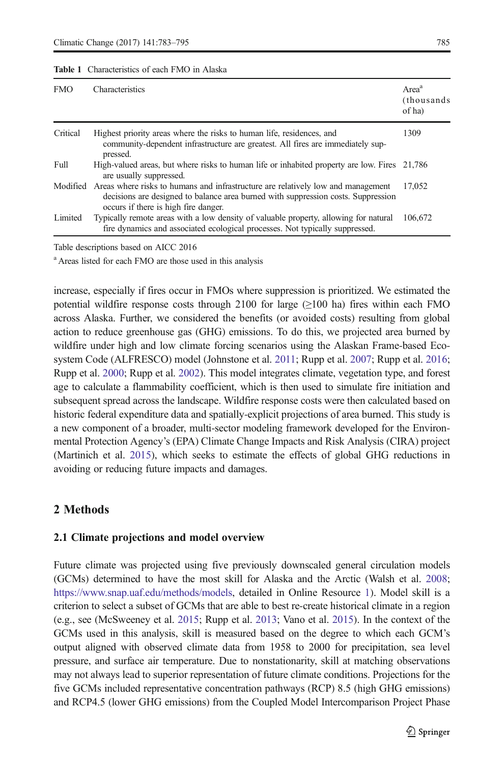#### <span id="page-2-0"></span>Table 1 Characteristics of each FMO in Alaska

| <b>FMO</b> | Characteristics                                                                                                                                                                                                        | Area <sup>a</sup><br>(thousands)<br>of ha |
|------------|------------------------------------------------------------------------------------------------------------------------------------------------------------------------------------------------------------------------|-------------------------------------------|
| Critical   | Highest priority areas where the risks to human life, residences, and<br>community-dependent infrastructure are greatest. All fires are immediately sup-<br>pressed.                                                   | 1309                                      |
| Full       | High-valued areas, but where risks to human life or inhabited property are low. Fires 21,786<br>are usually suppressed.                                                                                                |                                           |
|            | Modified Areas where risks to humans and infrastructure are relatively low and management<br>decisions are designed to balance area burned with suppression costs. Suppression<br>occurs if there is high fire danger. | 17.052                                    |
| Limited    | Typically remote areas with a low density of valuable property, allowing for natural<br>fire dynamics and associated ecological processes. Not typically suppressed.                                                   | 106,672                                   |

Table descriptions based on AICC 2016

<sup>a</sup> Areas listed for each FMO are those used in this analysis

increase, especially if fires occur in FMOs where suppression is prioritized. We estimated the potential wildfire response costs through 2100 for large  $(\geq 100)$  ha) fires within each FMO across Alaska. Further, we considered the benefits (or avoided costs) resulting from global action to reduce greenhouse gas (GHG) emissions. To do this, we projected area burned by wildfire under high and low climate forcing scenarios using the Alaskan Frame-based Ecosystem Code (ALFRESCO) model (Johnstone et al. [2011](#page-11-0); Rupp et al. [2007](#page-11-0); Rupp et al. [2016](#page-11-0); Rupp et al. [2000](#page-11-0); Rupp et al. [2002](#page-11-0)). This model integrates climate, vegetation type, and forest age to calculate a flammability coefficient, which is then used to simulate fire initiation and subsequent spread across the landscape. Wildfire response costs were then calculated based on historic federal expenditure data and spatially-explicit projections of area burned. This study is a new component of a broader, multi-sector modeling framework developed for the Environmental Protection Agency's (EPA) Climate Change Impacts and Risk Analysis (CIRA) project (Martinich et al. [2015\)](#page-11-0), which seeks to estimate the effects of global GHG reductions in avoiding or reducing future impacts and damages.

# 2 Methods

### 2.1 Climate projections and model overview

Future climate was projected using five previously downscaled general circulation models (GCMs) determined to have the most skill for Alaska and the Arctic (Walsh et al. [2008](#page-12-0); [https://www.snap.uaf.edu/methods/models,](https://www.snap.uaf.edu/methods/models) detailed in Online Resource 1). Model skill is a criterion to select a subset of GCMs that are able to best re-create historical climate in a region (e.g., see (McSweeney et al. [2015;](#page-11-0) Rupp et al. [2013;](#page-11-0) Vano et al. [2015](#page-12-0)). In the context of the GCMs used in this analysis, skill is measured based on the degree to which each GCM's output aligned with observed climate data from 1958 to 2000 for precipitation, sea level pressure, and surface air temperature. Due to nonstationarity, skill at matching observations may not always lead to superior representation of future climate conditions. Projections for the five GCMs included representative concentration pathways (RCP) 8.5 (high GHG emissions) and RCP4.5 (lower GHG emissions) from the Coupled Model Intercomparison Project Phase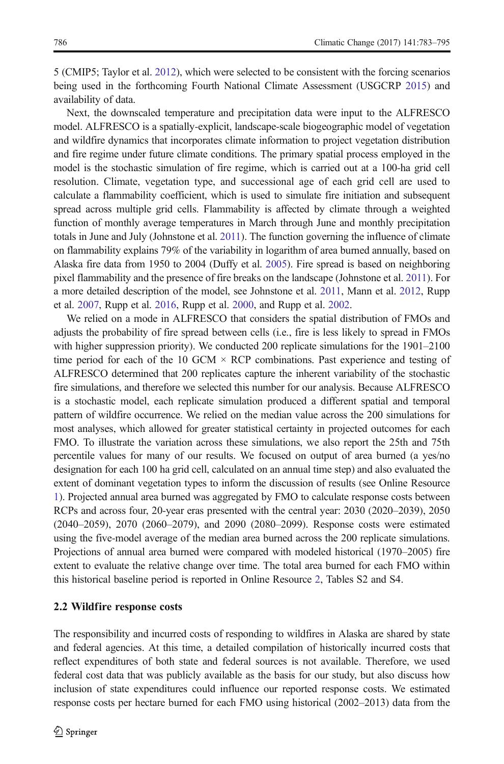5 (CMIP5; Taylor et al. [2012\)](#page-11-0), which were selected to be consistent with the forcing scenarios being used in the forthcoming Fourth National Climate Assessment (USGCRP [2015](#page-12-0)) and availability of data.

Next, the downscaled temperature and precipitation data were input to the ALFRESCO model. ALFRESCO is a spatially-explicit, landscape-scale biogeographic model of vegetation and wildfire dynamics that incorporates climate information to project vegetation distribution and fire regime under future climate conditions. The primary spatial process employed in the model is the stochastic simulation of fire regime, which is carried out at a 100-ha grid cell resolution. Climate, vegetation type, and successional age of each grid cell are used to calculate a flammability coefficient, which is used to simulate fire initiation and subsequent spread across multiple grid cells. Flammability is affected by climate through a weighted function of monthly average temperatures in March through June and monthly precipitation totals in June and July (Johnstone et al. [2011](#page-11-0)). The function governing the influence of climate on flammability explains 79% of the variability in logarithm of area burned annually, based on Alaska fire data from 1950 to 2004 (Duffy et al. [2005](#page-11-0)). Fire spread is based on neighboring pixel flammability and the presence of fire breaks on the landscape (Johnstone et al. [2011](#page-11-0)). For a more detailed description of the model, see Johnstone et al. [2011,](#page-11-0) Mann et al. [2012](#page-11-0), Rupp et al. [2007](#page-11-0), Rupp et al. [2016,](#page-11-0) Rupp et al. [2000](#page-11-0), and Rupp et al. [2002.](#page-11-0)

We relied on a mode in ALFRESCO that considers the spatial distribution of FMOs and adjusts the probability of fire spread between cells (i.e., fire is less likely to spread in FMOs with higher suppression priority). We conducted 200 replicate simulations for the 1901–2100 time period for each of the 10 GCM  $\times$  RCP combinations. Past experience and testing of ALFRESCO determined that 200 replicates capture the inherent variability of the stochastic fire simulations, and therefore we selected this number for our analysis. Because ALFRESCO is a stochastic model, each replicate simulation produced a different spatial and temporal pattern of wildfire occurrence. We relied on the median value across the 200 simulations for most analyses, which allowed for greater statistical certainty in projected outcomes for each FMO. To illustrate the variation across these simulations, we also report the 25th and 75th percentile values for many of our results. We focused on output of area burned (a yes/no designation for each 100 ha grid cell, calculated on an annual time step) and also evaluated the extent of dominant vegetation types to inform the discussion of results (see Online Resource 1). Projected annual area burned was aggregated by FMO to calculate response costs between RCPs and across four, 20-year eras presented with the central year: 2030 (2020–2039), 2050 (2040–2059), 2070 (2060–2079), and 2090 (2080–2099). Response costs were estimated using the five-model average of the median area burned across the 200 replicate simulations. Projections of annual area burned were compared with modeled historical (1970–2005) fire extent to evaluate the relative change over time. The total area burned for each FMO within this historical baseline period is reported in Online Resource 2, Tables S2 and S4.

#### 2.2 Wildfire response costs

The responsibility and incurred costs of responding to wildfires in Alaska are shared by state and federal agencies. At this time, a detailed compilation of historically incurred costs that reflect expenditures of both state and federal sources is not available. Therefore, we used federal cost data that was publicly available as the basis for our study, but also discuss how inclusion of state expenditures could influence our reported response costs. We estimated response costs per hectare burned for each FMO using historical (2002–2013) data from the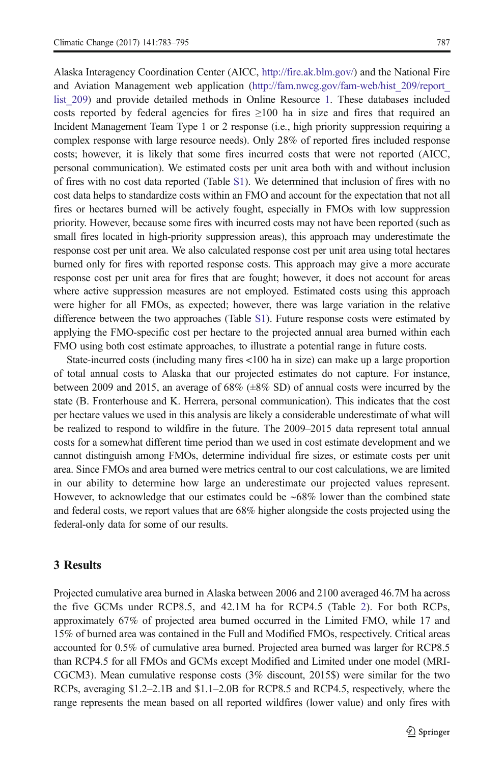Alaska Interagency Coordination Center (AICC, [http://fire.ak.blm.gov/\)](http://fire.ak.blm.gov/) and the National Fire and Aviation Management web application [\(http://fam.nwcg.gov/fam-web/hist\\_209/report\\_](http://fam.nwcg.gov/fam-web/hist_209/report_list_209) list 209) and provide detailed methods in Online Resource 1. These databases included costs reported by federal agencies for fires  $\geq 100$  ha in size and fires that required an Incident Management Team Type 1 or 2 response (i.e., high priority suppression requiring a complex response with large resource needs). Only 28% of reported fires included response costs; however, it is likely that some fires incurred costs that were not reported (AICC, personal communication). We estimated costs per unit area both with and without inclusion of fires with no cost data reported (Table S1). We determined that inclusion of fires with no cost data helps to standardize costs within an FMO and account for the expectation that not all fires or hectares burned will be actively fought, especially in FMOs with low suppression priority. However, because some fires with incurred costs may not have been reported (such as small fires located in high-priority suppression areas), this approach may underestimate the response cost per unit area. We also calculated response cost per unit area using total hectares burned only for fires with reported response costs. This approach may give a more accurate response cost per unit area for fires that are fought; however, it does not account for areas where active suppression measures are not employed. Estimated costs using this approach were higher for all FMOs, as expected; however, there was large variation in the relative difference between the two approaches (Table S1). Future response costs were estimated by applying the FMO-specific cost per hectare to the projected annual area burned within each FMO using both cost estimate approaches, to illustrate a potential range in future costs.

State-incurred costs (including many fires <100 ha in size) can make up a large proportion of total annual costs to Alaska that our projected estimates do not capture. For instance, between 2009 and 2015, an average of 68% (±8% SD) of annual costs were incurred by the state (B. Fronterhouse and K. Herrera, personal communication). This indicates that the cost per hectare values we used in this analysis are likely a considerable underestimate of what will be realized to respond to wildfire in the future. The 2009–2015 data represent total annual costs for a somewhat different time period than we used in cost estimate development and we cannot distinguish among FMOs, determine individual fire sizes, or estimate costs per unit area. Since FMOs and area burned were metrics central to our cost calculations, we are limited in our ability to determine how large an underestimate our projected values represent. However, to acknowledge that our estimates could be ∼68% lower than the combined state and federal costs, we report values that are 68% higher alongside the costs projected using the federal-only data for some of our results.

# 3 Results

Projected cumulative area burned in Alaska between 2006 and 2100 averaged 46.7M ha across the five GCMs under RCP8.5, and 42.1M ha for RCP4.5 (Table [2](#page-5-0)). For both RCPs, approximately 67% of projected area burned occurred in the Limited FMO, while 17 and 15% of burned area was contained in the Full and Modified FMOs, respectively. Critical areas accounted for 0.5% of cumulative area burned. Projected area burned was larger for RCP8.5 than RCP4.5 for all FMOs and GCMs except Modified and Limited under one model (MRI-CGCM3). Mean cumulative response costs (3% discount, 2015\$) were similar for the two RCPs, averaging \$1.2–2.1B and \$1.1–2.0B for RCP8.5 and RCP4.5, respectively, where the range represents the mean based on all reported wildfires (lower value) and only fires with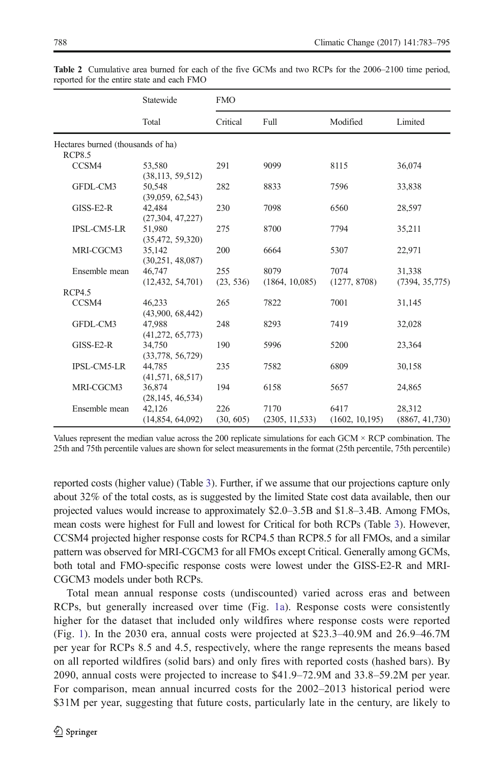|                                   | Statewide<br>Total | <b>FMO</b> |                 |                 |                 |  |
|-----------------------------------|--------------------|------------|-----------------|-----------------|-----------------|--|
|                                   |                    | Critical   | Full            | Modified        | Limited         |  |
| Hectares burned (thousands of ha) |                    |            |                 |                 |                 |  |
| <b>RCP8.5</b>                     |                    |            |                 |                 |                 |  |
| CCSM4                             | 53,580             | 291        | 9099            | 8115            | 36,074          |  |
|                                   | (38, 113, 59, 512) |            |                 |                 |                 |  |
| GFDL-CM3                          | 50,548             | 282        | 8833            | 7596            | 33,838          |  |
|                                   | (39,059, 62,543)   |            |                 |                 |                 |  |
| GISS-E2-R                         | 42.484             | 230        | 7098            | 6560            | 28,597          |  |
|                                   | (27,304, 47,227)   |            |                 |                 |                 |  |
| <b>IPSL-CM5-LR</b>                | 51.980             | 275        | 8700            | 7794            | 35,211          |  |
|                                   | (35, 472, 59, 320) |            |                 |                 |                 |  |
| MRI-CGCM3                         | 35,142             | 200        | 6664            | 5307            | 22,971          |  |
|                                   | (30, 251, 48, 087) |            |                 |                 |                 |  |
| Ensemble mean                     | 46,747             | 255        | 8079            | 7074            | 31.338          |  |
|                                   | (12, 432, 54, 701) | (23, 536)  | (1864, 10,085)  | (1277, 8708)    | (7394, 35, 775) |  |
| RCP4.5                            |                    |            |                 |                 |                 |  |
| CCSM4                             | 46.233             | 265        | 7822            | 7001            | 31,145          |  |
|                                   | (43,900, 68,442)   |            |                 |                 |                 |  |
| GFDL-CM3                          | 47.988             | 248        | 8293            | 7419            | 32,028          |  |
|                                   | (41, 272, 65, 773) |            |                 |                 |                 |  |
| $GISS-E2-R$                       | 34,750             | 190        | 5996            | 5200            | 23,364          |  |
|                                   | (33,778, 56,729)   |            |                 |                 |                 |  |
| <b>IPSL-CM5-LR</b>                | 44,785             | 235        | 7582            | 6809            | 30,158          |  |
|                                   | (41,571, 68,517)   |            |                 |                 |                 |  |
| MRI-CGCM3                         | 36,874             | 194        | 6158            | 5657            | 24,865          |  |
|                                   | (28, 145, 46, 534) |            |                 |                 |                 |  |
| Ensemble mean                     | 42,126             | 226        | 7170            | 6417            | 28,312          |  |
|                                   | (14,854, 64,092)   | (30, 605)  | (2305, 11, 533) | (1602, 10, 195) | (8867, 41,730)  |  |

<span id="page-5-0"></span>Table 2 Cumulative area burned for each of the five GCMs and two RCPs for the 2006–2100 time period, reported for the entire state and each FMO

Values represent the median value across the 200 replicate simulations for each  $GCM \times RCP$  combination. The 25th and 75th percentile values are shown for select measurements in the format (25th percentile, 75th percentile)

reported costs (higher value) (Table [3](#page-6-0)). Further, if we assume that our projections capture only about 32% of the total costs, as is suggested by the limited State cost data available, then our projected values would increase to approximately \$2.0–3.5B and \$1.8–3.4B. Among FMOs, mean costs were highest for Full and lowest for Critical for both RCPs (Table [3](#page-6-0)). However, CCSM4 projected higher response costs for RCP4.5 than RCP8.5 for all FMOs, and a similar pattern was observed for MRI-CGCM3 for all FMOs except Critical. Generally among GCMs, both total and FMO-specific response costs were lowest under the GISS-E2-R and MRI-CGCM3 models under both RCPs.

Total mean annual response costs (undiscounted) varied across eras and between RCPs, but generally increased over time (Fig. [1a](#page-7-0)). Response costs were consistently higher for the dataset that included only wildfires where response costs were reported (Fig. [1](#page-7-0)). In the 2030 era, annual costs were projected at \$23.3–40.9M and 26.9–46.7M per year for RCPs 8.5 and 4.5, respectively, where the range represents the means based on all reported wildfires (solid bars) and only fires with reported costs (hashed bars). By 2090, annual costs were projected to increase to \$41.9–72.9M and 33.8–59.2M per year. For comparison, mean annual incurred costs for the 2002–2013 historical period were \$31M per year, suggesting that future costs, particularly late in the century, are likely to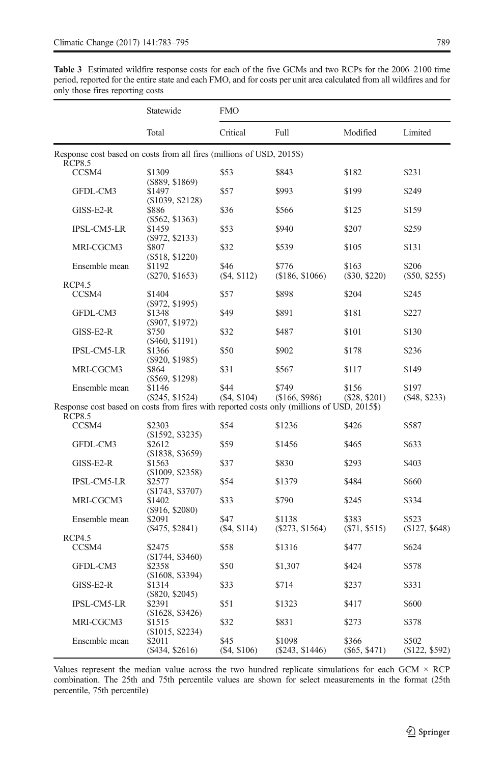<span id="page-6-0"></span>Table 3 Estimated wildfire response costs for each of the five GCMs and two RCPs for the 2006–2100 time period, reported for the entire state and each FMO, and for costs per unit area calculated from all wildfires and for only those fires reporting costs

|                                                                                            | Statewide<br>Total            | FMO                  |                          |                      |                           |  |
|--------------------------------------------------------------------------------------------|-------------------------------|----------------------|--------------------------|----------------------|---------------------------|--|
|                                                                                            |                               | Critical             | Full                     | Modified             | Limited                   |  |
| Response cost based on costs from all fires (millions of USD, 2015\$)<br><b>RCP8.5</b>     |                               |                      |                          |                      |                           |  |
| CCSM4                                                                                      | \$1309<br>$($ \$889, \$1869)  | \$53                 | \$843                    | \$182                | \$231                     |  |
| GFDL-CM3                                                                                   | \$1497<br>(\$1039, \$2128)    | \$57                 | \$993                    | \$199                | \$249                     |  |
| $GISS-E2-R$                                                                                | \$886<br>$(\$562, \$1363)$    | \$36                 | \$566                    | \$125                | \$159                     |  |
| <b>IPSL-CM5-LR</b>                                                                         | \$1459<br>(\$972, \$2133)     | \$53                 | \$940                    | \$207                | \$259                     |  |
| MRI-CGCM3                                                                                  | \$807                         | \$32                 | \$539                    | \$105                | \$131                     |  |
| Ensemble mean                                                                              | $(\$518, \$1220)$<br>\$1192   | \$46<br>(\$4, \$112) | \$776<br>(\$186, \$1066) | \$163                | \$206                     |  |
|                                                                                            | $(\$270, \$1653)$             |                      |                          | $(\$30, \$220)$      | $(\$50, \$255)$           |  |
| RCP4.5                                                                                     |                               |                      |                          |                      |                           |  |
| CCSM4                                                                                      | \$1404<br>(\$972, \$1995)     | \$57                 | \$898                    | \$204                | \$245                     |  |
| GFDL-CM3                                                                                   | \$1348<br>(\$907, \$1972)     | \$49                 | \$891                    | \$181                | \$227                     |  |
| GISS-E2-R                                                                                  | \$750<br>(\$460, \$1191)      | \$32                 | \$487                    | \$101                | \$130                     |  |
| <b>IPSL-CM5-LR</b>                                                                         | \$1366<br>$(\$920, \$1985)$   | \$50                 | \$902                    | \$178                | \$236                     |  |
| MRI-CGCM3                                                                                  | \$864<br>$(\$569, \$1298)$    | \$31                 | \$567                    | \$117                | \$149                     |  |
| Ensemble mean                                                                              | \$1146<br>$(\$245, \$1524)$   | \$44<br>(\$4, \$104) | \$749<br>(\$166, \$986)  | \$156<br>(S28, S201) | \$197<br>$($ \$48, \$233) |  |
| Response cost based on costs from fires with reported costs only (millions of USD, 2015\$) |                               |                      |                          |                      |                           |  |
| <b>RCP8.5</b>                                                                              |                               |                      |                          |                      |                           |  |
| CCSM4                                                                                      | \$2303<br>$(\$1592, \$3235)$  | \$54                 | \$1236                   | \$426                | \$587                     |  |
| GFDL-CM3                                                                                   | \$2612<br>$($ \$1838, \$3659) | \$59                 | \$1456                   | \$465                | \$633                     |  |
| GISS-E2-R                                                                                  | \$1563<br>$(\$1009, \$2358)$  | \$37                 | \$830                    | \$293                | \$403                     |  |
| <b>IPSL-CM5-LR</b>                                                                         | \$2577                        | \$54                 | \$1379                   | \$484                | \$660                     |  |
| MRI-CGCM3                                                                                  | (\$1743, \$3707)<br>\$1402    | \$33                 | \$790                    | \$245                | \$334                     |  |
| Ensemble mean                                                                              | $($ \$916, \$2080)<br>\$2091  | \$47                 | \$1138                   | \$383                | \$523                     |  |
|                                                                                            | $($ \$475, \$2841)            | (\$4, \$114)         | $(\$273, \$1564)$        | (S71, S515)          | (\$127, \$648)            |  |
| <b>RCP4.5</b>                                                                              |                               |                      |                          |                      |                           |  |
| CCSM4                                                                                      | \$2475<br>$(\$1744, \$3460)$  | \$58                 | \$1316                   | \$477                | \$624                     |  |
| GFDL-CM3                                                                                   | \$2358<br>(\$1608, \$3394)    | \$50                 | \$1,307                  | \$424                | \$578                     |  |
| $GISS-E2-R$                                                                                | \$1314<br>$(\$820, \$2045)$   | \$33                 | \$714                    | \$237                | \$331                     |  |
| <b>IPSL-CM5-LR</b>                                                                         | \$2391<br>(\$1628, \$3426)    | \$51                 | \$1323                   | \$417                | \$600                     |  |
| MRI-CGCM3                                                                                  | \$1515<br>(\$1015, \$2234)    | \$32                 | \$831                    | \$273                | \$378                     |  |
| Ensemble mean                                                                              | \$2011                        | \$45                 | \$1098                   | \$366                | \$502                     |  |
|                                                                                            | $(\$434, \$2616)$             | $(\$4, \$106)$       | $(\$243, \$1446)$        | $($ \$65, \$471)     | (\$122, \$592)            |  |

Values represent the median value across the two hundred replicate simulations for each  $GCM \times RCP$ combination. The 25th and 75th percentile values are shown for select measurements in the format (25th percentile, 75th percentile)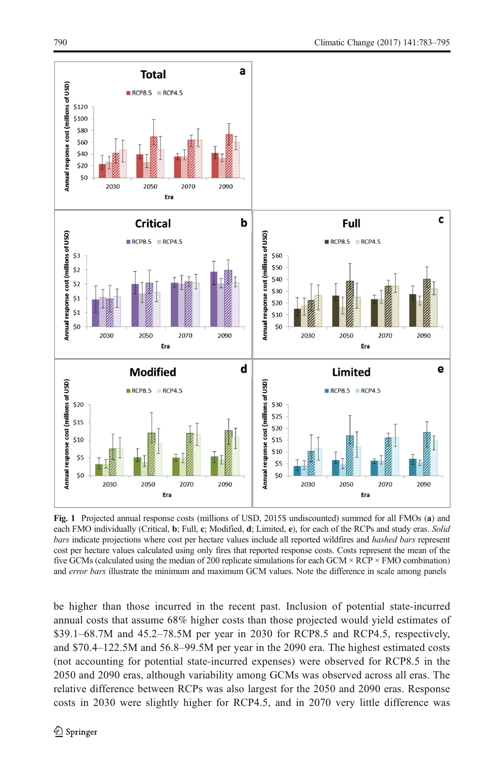<span id="page-7-0"></span>

Fig. 1 Projected annual response costs (millions of USD, 2015\$ undiscounted) summed for all FMOs (a) and each FMO individually (Critical, b; Full, c; Modified, d; Limited, e), for each of the RCPs and study eras. Solid bars indicate projections where cost per hectare values include all reported wildfires and hashed bars represent cost per hectare values calculated using only fires that reported response costs. Costs represent the mean of the five GCMs (calculated using the median of 200 replicate simulations for each GCM  $\times$  RCP  $\times$  FMO combination) and error bars illustrate the minimum and maximum GCM values. Note the difference in scale among panels

be higher than those incurred in the recent past. Inclusion of potential state-incurred annual costs that assume 68% higher costs than those projected would yield estimates of \$39.1–68.7M and 45.2–78.5M per year in 2030 for RCP8.5 and RCP4.5, respectively, and \$70.4–122.5M and 56.8–99.5M per year in the 2090 era. The highest estimated costs (not accounting for potential state-incurred expenses) were observed for RCP8.5 in the 2050 and 2090 eras, although variability among GCMs was observed across all eras. The relative difference between RCPs was also largest for the 2050 and 2090 eras. Response costs in 2030 were slightly higher for RCP4.5, and in 2070 very little difference was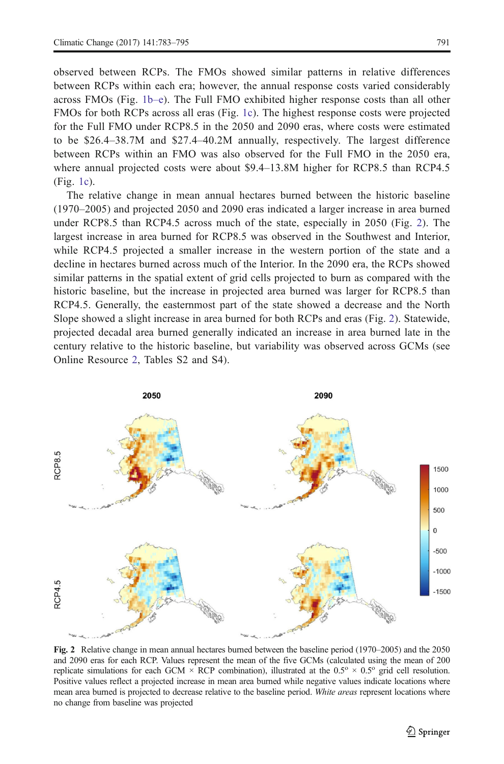<span id="page-8-0"></span>observed between RCPs. The FMOs showed similar patterns in relative differences between RCPs within each era; however, the annual response costs varied considerably across FMOs (Fig. [1b](#page-7-0)–e). The Full FMO exhibited higher response costs than all other FMOs for both RCPs across all eras (Fig. [1c](#page-7-0)). The highest response costs were projected for the Full FMO under RCP8.5 in the 2050 and 2090 eras, where costs were estimated to be \$26.4–38.7M and \$27.4–40.2M annually, respectively. The largest difference between RCPs within an FMO was also observed for the Full FMO in the 2050 era, where annual projected costs were about \$9.4–13.8M higher for RCP8.5 than RCP4.5 (Fig. [1c\)](#page-7-0).

The relative change in mean annual hectares burned between the historic baseline (1970–2005) and projected 2050 and 2090 eras indicated a larger increase in area burned under RCP8.5 than RCP4.5 across much of the state, especially in 2050 (Fig. 2). The largest increase in area burned for RCP8.5 was observed in the Southwest and Interior, while RCP4.5 projected a smaller increase in the western portion of the state and a decline in hectares burned across much of the Interior. In the 2090 era, the RCPs showed similar patterns in the spatial extent of grid cells projected to burn as compared with the historic baseline, but the increase in projected area burned was larger for RCP8.5 than RCP4.5. Generally, the easternmost part of the state showed a decrease and the North Slope showed a slight increase in area burned for both RCPs and eras (Fig. 2). Statewide, projected decadal area burned generally indicated an increase in area burned late in the century relative to the historic baseline, but variability was observed across GCMs (see Online Resource 2, Tables S2 and S4).



Fig. 2 Relative change in mean annual hectares burned between the baseline period (1970–2005) and the 2050 and 2090 eras for each RCP. Values represent the mean of the five GCMs (calculated using the mean of 200 replicate simulations for each GCM  $\times$  RCP combination), illustrated at the 0.5<sup>o</sup>  $\times$  0.5<sup>o</sup> grid cell resolution. Positive values reflect a projected increase in mean area burned while negative values indicate locations where mean area burned is projected to decrease relative to the baseline period. White areas represent locations where no change from baseline was projected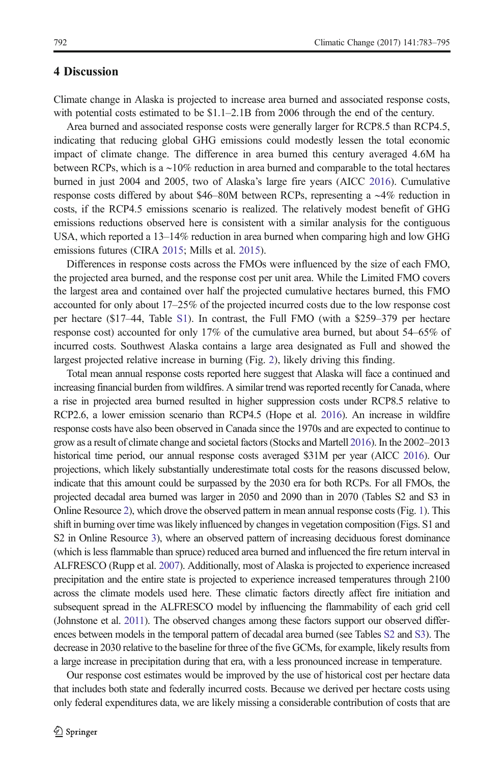# 4 Discussion

Climate change in Alaska is projected to increase area burned and associated response costs, with potential costs estimated to be \$1.1–2.1B from 2006 through the end of the century.

Area burned and associated response costs were generally larger for RCP8.5 than RCP4.5, indicating that reducing global GHG emissions could modestly lessen the total economic impact of climate change. The difference in area burned this century averaged 4.6M ha between RCPs, which is a ∼10% reduction in area burned and comparable to the total hectares burned in just 2004 and 2005, two of Alaska's large fire years (AICC [2016\)](#page-10-0). Cumulative response costs differed by about \$46–80M between RCPs, representing a ∼4% reduction in costs, if the RCP4.5 emissions scenario is realized. The relatively modest benefit of GHG emissions reductions observed here is consistent with a similar analysis for the contiguous USA, which reported a 13–14% reduction in area burned when comparing high and low GHG emissions futures (CIRA [2015](#page-11-0); Mills et al. [2015\)](#page-11-0).

Differences in response costs across the FMOs were influenced by the size of each FMO, the projected area burned, and the response cost per unit area. While the Limited FMO covers the largest area and contained over half the projected cumulative hectares burned, this FMO accounted for only about 17–25% of the projected incurred costs due to the low response cost per hectare (\$17–44, Table S1). In contrast, the Full FMO (with a \$259–379 per hectare response cost) accounted for only 17% of the cumulative area burned, but about 54–65% of incurred costs. Southwest Alaska contains a large area designated as Full and showed the largest projected relative increase in burning (Fig. [2](#page-8-0)), likely driving this finding.

Total mean annual response costs reported here suggest that Alaska will face a continued and increasing financial burden from wildfires. A similar trend was reported recently for Canada, where a rise in projected area burned resulted in higher suppression costs under RCP8.5 relative to RCP2.6, a lower emission scenario than RCP4.5 (Hope et al. [2016](#page-11-0)). An increase in wildfire response costs have also been observed in Canada since the 1970s and are expected to continue to grow as a result of climate change and societal factors (Stocks and Martell [2016\)](#page-11-0). In the 2002–2013 historical time period, our annual response costs averaged \$31M per year (AICC [2016\)](#page-10-0). Our projections, which likely substantially underestimate total costs for the reasons discussed below, indicate that this amount could be surpassed by the 2030 era for both RCPs. For all FMOs, the projected decadal area burned was larger in 2050 and 2090 than in 2070 (Tables S2 and S3 in Online Resource 2), which drove the observed pattern in mean annual response costs (Fig. [1\)](#page-7-0). This shift in burning over time was likely influenced by changes in vegetation composition (Figs. S1 and S2 in Online Resource 3), where an observed pattern of increasing deciduous forest dominance (which is less flammable than spruce) reduced area burned and influenced the fire return interval in ALFRESCO (Rupp et al. [2007](#page-11-0)). Additionally, most of Alaska is projected to experience increased precipitation and the entire state is projected to experience increased temperatures through 2100 across the climate models used here. These climatic factors directly affect fire initiation and subsequent spread in the ALFRESCO model by influencing the flammability of each grid cell (Johnstone et al. [2011\)](#page-11-0). The observed changes among these factors support our observed differences between models in the temporal pattern of decadal area burned (see Tables S2 and S3). The decrease in 2030 relative to the baseline for three of the five GCMs, for example, likely results from a large increase in precipitation during that era, with a less pronounced increase in temperature.

Our response cost estimates would be improved by the use of historical cost per hectare data that includes both state and federally incurred costs. Because we derived per hectare costs using only federal expenditures data, we are likely missing a considerable contribution of costs that are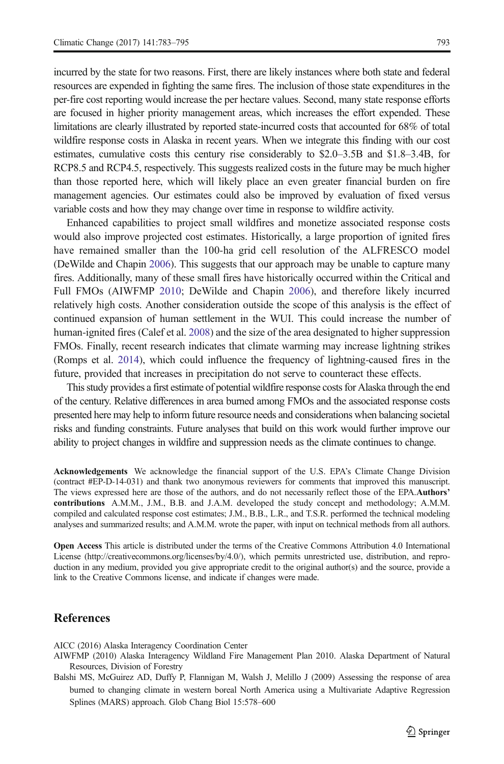<span id="page-10-0"></span>incurred by the state for two reasons. First, there are likely instances where both state and federal resources are expended in fighting the same fires. The inclusion of those state expenditures in the per-fire cost reporting would increase the per hectare values. Second, many state response efforts are focused in higher priority management areas, which increases the effort expended. These limitations are clearly illustrated by reported state-incurred costs that accounted for 68% of total wildfire response costs in Alaska in recent years. When we integrate this finding with our cost estimates, cumulative costs this century rise considerably to \$2.0–3.5B and \$1.8–3.4B, for RCP8.5 and RCP4.5, respectively. This suggests realized costs in the future may be much higher than those reported here, which will likely place an even greater financial burden on fire management agencies. Our estimates could also be improved by evaluation of fixed versus

variable costs and how they may change over time in response to wildfire activity.

Enhanced capabilities to project small wildfires and monetize associated response costs would also improve projected cost estimates. Historically, a large proportion of ignited fires have remained smaller than the 100-ha grid cell resolution of the ALFRESCO model (DeWilde and Chapin [2006\)](#page-11-0). This suggests that our approach may be unable to capture many fires. Additionally, many of these small fires have historically occurred within the Critical and Full FMOs (AIWFMP 2010; DeWilde and Chapin [2006\)](#page-11-0), and therefore likely incurred relatively high costs. Another consideration outside the scope of this analysis is the effect of continued expansion of human settlement in the WUI. This could increase the number of human-ignited fires (Calef et al. [2008](#page-11-0)) and the size of the area designated to higher suppression FMOs. Finally, recent research indicates that climate warming may increase lightning strikes (Romps et al. [2014](#page-11-0)), which could influence the frequency of lightning-caused fires in the future, provided that increases in precipitation do not serve to counteract these effects.

This study provides a first estimate of potential wildfire response costs for Alaska through the end of the century. Relative differences in area burned among FMOs and the associated response costs presented here may help to inform future resource needs and considerations when balancing societal risks and funding constraints. Future analyses that build on this work would further improve our ability to project changes in wildfire and suppression needs as the climate continues to change.

Acknowledgements We acknowledge the financial support of the U.S. EPA's Climate Change Division (contract #EP-D-14-031) and thank two anonymous reviewers for comments that improved this manuscript. The views expressed here are those of the authors, and do not necessarily reflect those of the EPA.Authors' contributions A.M.M., J.M., B.B. and J.A.M. developed the study concept and methodology; A.M.M. compiled and calculated response cost estimates; J.M., B.B., L.R., and T.S.R. performed the technical modeling analyses and summarized results; and A.M.M. wrote the paper, with input on technical methods from all authors.

Open Access This article is distributed under the terms of the Creative Commons Attribution 4.0 International License (http://creativecommons.org/licenses/by/4.0/), which permits unrestricted use, distribution, and reproduction in any medium, provided you give appropriate credit to the original author(s) and the source, provide a link to the Creative Commons license, and indicate if changes were made.

# References

AICC (2016) Alaska Interagency Coordination Center

Balshi MS, McGuirez AD, Duffy P, Flannigan M, Walsh J, Melillo J (2009) Assessing the response of area burned to changing climate in western boreal North America using a Multivariate Adaptive Regression Splines (MARS) approach. Glob Chang Biol 15:578–600

AIWFMP (2010) Alaska Interagency Wildland Fire Management Plan 2010. Alaska Department of Natural Resources, Division of Forestry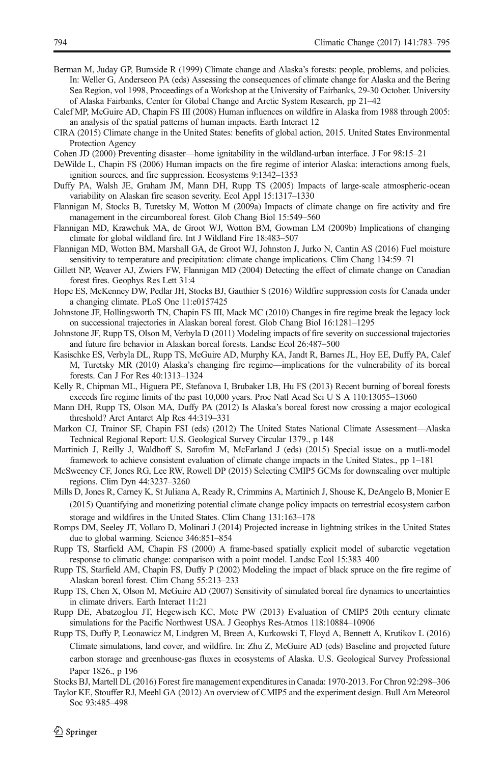- <span id="page-11-0"></span>Berman M, Juday GP, Burnside R (1999) Climate change and Alaska's forests: people, problems, and policies. In: Weller G, Anderseon PA (eds) Assessing the consequences of climate change for Alaska and the Bering Sea Region, vol 1998, Proceedings of a Workshop at the University of Fairbanks, 29-30 October. University of Alaska Fairbanks, Center for Global Change and Arctic System Research, pp 21–42
- Calef MP, McGuire AD, Chapin FS III (2008) Human influences on wildfire in Alaska from 1988 through 2005: an analysis of the spatial patterns of human impacts. Earth Interact 12
- CIRA (2015) Climate change in the United States: benefits of global action, 2015. United States Environmental Protection Agency
- Cohen JD (2000) Preventing disaster—home ignitability in the wildland-urban interface. J For 98:15–21
- DeWilde L, Chapin FS (2006) Human impacts on the fire regime of interior Alaska: interactions among fuels, ignition sources, and fire suppression. Ecosystems 9:1342–1353
- Duffy PA, Walsh JE, Graham JM, Mann DH, Rupp TS (2005) Impacts of large-scale atmospheric-ocean variability on Alaskan fire season severity. Ecol Appl 15:1317–1330
- Flannigan M, Stocks B, Turetsky M, Wotton M (2009a) Impacts of climate change on fire activity and fire management in the circumboreal forest. Glob Chang Biol 15:549–560
- Flannigan MD, Krawchuk MA, de Groot WJ, Wotton BM, Gowman LM (2009b) Implications of changing climate for global wildland fire. Int J Wildland Fire 18:483–507
- Flannigan MD, Wotton BM, Marshall GA, de Groot WJ, Johnston J, Jurko N, Cantin AS (2016) Fuel moisture sensitivity to temperature and precipitation: climate change implications. Clim Chang 134:59–71
- Gillett NP, Weaver AJ, Zwiers FW, Flannigan MD (2004) Detecting the effect of climate change on Canadian forest fires. Geophys Res Lett 31:4
- Hope ES, McKenney DW, Pedlar JH, Stocks BJ, Gauthier S (2016) Wildfire suppression costs for Canada under a changing climate. PLoS One 11:e0157425
- Johnstone JF, Hollingsworth TN, Chapin FS III, Mack MC (2010) Changes in fire regime break the legacy lock on successional trajectories in Alaskan boreal forest. Glob Chang Biol 16:1281–1295
- Johnstone JF, Rupp TS, Olson M, Verbyla D (2011) Modeling impacts of fire severity on successional trajectories and future fire behavior in Alaskan boreal forests. Landsc Ecol 26:487–500
- Kasischke ES, Verbyla DL, Rupp TS, McGuire AD, Murphy KA, Jandt R, Barnes JL, Hoy EE, Duffy PA, Calef M, Turetsky MR (2010) Alaska's changing fire regime—implications for the vulnerability of its boreal forests. Can J For Res 40:1313–1324
- Kelly R, Chipman ML, Higuera PE, Stefanova I, Brubaker LB, Hu FS (2013) Recent burning of boreal forests exceeds fire regime limits of the past 10,000 years. Proc Natl Acad Sci U S A 110:13055–13060
- Mann DH, Rupp TS, Olson MA, Duffy PA (2012) Is Alaska's boreal forest now crossing a major ecological threshold? Arct Antarct Alp Res 44:319–331
- Markon CJ, Trainor SF, Chapin FSI (eds) (2012) The United States National Climate Assessment—Alaska Technical Regional Report: U.S. Geological Survey Circular 1379., p 148
- Martinich J, Reilly J, Waldhoff S, Sarofim M, McFarland J (eds) (2015) Special issue on a mutli-model framework to achieve consistent evaluation of climate change impacts in the United States., pp 1–181
- McSweeney CF, Jones RG, Lee RW, Rowell DP (2015) Selecting CMIP5 GCMs for downscaling over multiple regions. Clim Dyn 44:3237–3260
- Mills D, Jones R, Carney K, St Juliana A, Ready R, Crimmins A, Martinich J, Shouse K, DeAngelo B, Monier E (2015) Quantifying and monetizing potential climate change policy impacts on terrestrial ecosystem carbon storage and wildfires in the United States. Clim Chang 131:163–178

Romps DM, Seeley JT, Vollaro D, Molinari J (2014) Projected increase in lightning strikes in the United States due to global warming. Science 346:851–854

- Rupp TS, Starfield AM, Chapin FS (2000) A frame-based spatially explicit model of subarctic vegetation response to climatic change: comparison with a point model. Landsc Ecol 15:383–400
- Rupp TS, Starfield AM, Chapin FS, Duffy P (2002) Modeling the impact of black spruce on the fire regime of Alaskan boreal forest. Clim Chang 55:213–233
- Rupp TS, Chen X, Olson M, McGuire AD (2007) Sensitivity of simulated boreal fire dynamics to uncertainties in climate drivers. Earth Interact 11:21
- Rupp DE, Abatzoglou JT, Hegewisch KC, Mote PW (2013) Evaluation of CMIP5 20th century climate simulations for the Pacific Northwest USA. J Geophys Res-Atmos 118:10884–10906
- Rupp TS, Duffy P, Leonawicz M, Lindgren M, Breen A, Kurkowski T, Floyd A, Bennett A, Krutikov L (2016) Climate simulations, land cover, and wildfire. In: Zhu Z, McGuire AD (eds) Baseline and projected future carbon storage and greenhouse-gas fluxes in ecosystems of Alaska. U.S. Geological Survey Professional Paper 1826., p 196
- Stocks BJ, Martell DL (2016) Forest fire management expenditures in Canada: 1970-2013. For Chron 92:298–306
- Taylor KE, Stouffer RJ, Meehl GA (2012) An overview of CMIP5 and the experiment design. Bull Am Meteorol Soc 93:485–498